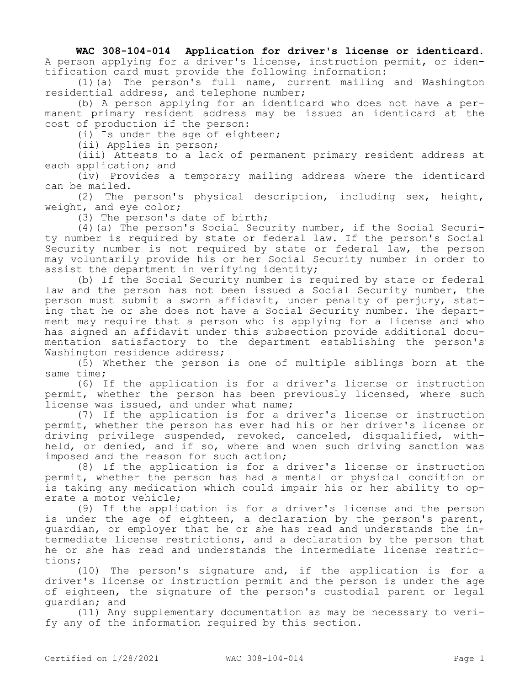## **WAC 308-104-014 Application for driver's license or identicard.**

A person applying for a driver's license, instruction permit, or identification card must provide the following information:

(1)(a) The person's full name, current mailing and Washington residential address, and telephone number;

(b) A person applying for an identicard who does not have a permanent primary resident address may be issued an identicard at the cost of production if the person:

(i) Is under the age of eighteen;

(ii) Applies in person;

(iii) Attests to a lack of permanent primary resident address at each application; and

(iv) Provides a temporary mailing address where the identicard can be mailed.

(2) The person's physical description, including sex, height, weight, and eye color;

(3) The person's date of birth;

(4)(a) The person's Social Security number, if the Social Security number is required by state or federal law. If the person's Social Security number is not required by state or federal law, the person may voluntarily provide his or her Social Security number in order to assist the department in verifying identity;

(b) If the Social Security number is required by state or federal law and the person has not been issued a Social Security number, the person must submit a sworn affidavit, under penalty of perjury, stating that he or she does not have a Social Security number. The department may require that a person who is applying for a license and who has signed an affidavit under this subsection provide additional documentation satisfactory to the department establishing the person's Washington residence address;

(5) Whether the person is one of multiple siblings born at the same time;

(6) If the application is for a driver's license or instruction permit, whether the person has been previously licensed, where such license was issued, and under what name;

(7) If the application is for a driver's license or instruction permit, whether the person has ever had his or her driver's license or driving privilege suspended, revoked, canceled, disqualified, withheld, or denied, and if so, where and when such driving sanction was imposed and the reason for such action;

(8) If the application is for a driver's license or instruction permit, whether the person has had a mental or physical condition or is taking any medication which could impair his or her ability to operate a motor vehicle;

(9) If the application is for a driver's license and the person is under the age of eighteen, a declaration by the person's parent, guardian, or employer that he or she has read and understands the intermediate license restrictions, and a declaration by the person that he or she has read and understands the intermediate license restrictions;

(10) The person's signature and, if the application is for a driver's license or instruction permit and the person is under the age of eighteen, the signature of the person's custodial parent or legal guardian; and

(11) Any supplementary documentation as may be necessary to verify any of the information required by this section.